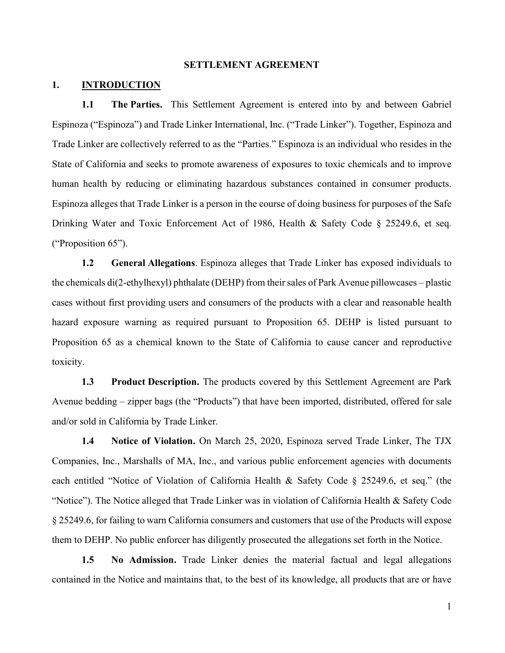#### **SETTLEMENT AGREEMENT**

#### **1. INTRODUCTION**

**1.1 The Parties.** This Settlement Agreement is entered into by and between Gabriel Espinoza ("Espinoza") and Trade Linker International, Inc. ("Trade Linker"). Together, Espinoza and Trade Linker are collectively referred to as the "Parties." Espinoza is an individual who resides in the State of California and seeks to promote awareness of exposures to toxic chemicals and to improve human health by reducing or eliminating hazardous substances contained in consumer products. Espinoza alleges that Trade Linker is a person in the course of doing business for purposes of the Safe Drinking Water and Toxic Enforcement Act of 1986, Health & Safety Code § 25249.6, et seq*.*  ("Proposition 65").

**1.2 General Allegations**. Espinoza alleges that Trade Linker has exposed individuals to the chemicals di(2-ethylhexyl) phthalate (DEHP) from their sales of Park Avenue pillowcases – plastic cases without first providing users and consumers of the products with a clear and reasonable health hazard exposure warning as required pursuant to Proposition 65. DEHP is listed pursuant to Proposition 65 as a chemical known to the State of California to cause cancer and reproductive toxicity.

**1.3 Product Description.** The products covered by this Settlement Agreement are Park Avenue bedding – zipper bags (the "Products") that have been imported, distributed, offered for sale and/or sold in California by Trade Linker.

**1.4 Notice of Violation.** On March 25, 2020, Espinoza served Trade Linker, The TJX Companies, Inc., Marshalls of MA, Inc., and various public enforcement agencies with documents each entitled "Notice of Violation of California Health & Safety Code § 25249.6, et seq." (the "Notice"). The Notice alleged that Trade Linker was in violation of California Health  $\&$  Safety Code § 25249.6, for failing to warn California consumers and customers that use of the Products will expose them to DEHP. No public enforcer has diligently prosecuted the allegations set forth in the Notice.

**1.5 No Admission.** Trade Linker denies the material factual and legal allegations contained in the Notice and maintains that, to the best of its knowledge, all products that are or have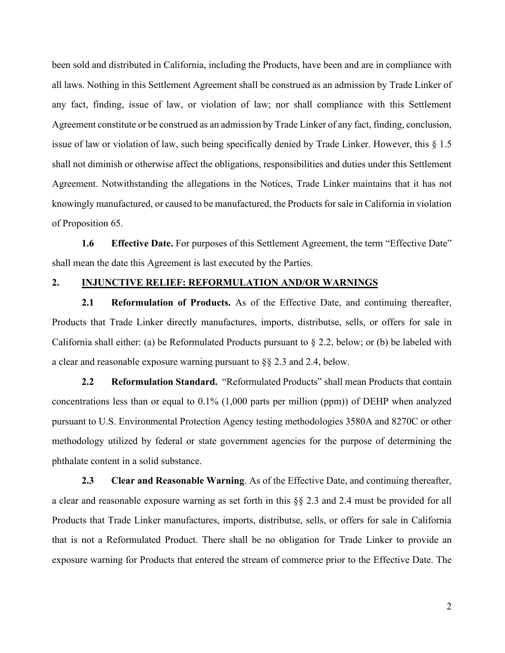been sold and distributed in California, including the Products, have been and are in compliance with all laws. Nothing in this Settlement Agreement shall be construed as an admission by Trade Linker of any fact, finding, issue of law, or violation of law; nor shall compliance with this Settlement Agreement constitute or be construed as an admission by Trade Linker of any fact, finding, conclusion, issue of law or violation of law, such being specifically denied by Trade Linker. However, this § 1.5 shall not diminish or otherwise affect the obligations, responsibilities and duties under this Settlement Agreement. Notwithstanding the allegations in the Notices, Trade Linker maintains that it has not knowingly manufactured, or caused to be manufactured, the Products for sale in California in violation of Proposition 65.

**1.6 Effective Date.** For purposes of this Settlement Agreement, the term "Effective Date" shall mean the date this Agreement is last executed by the Parties.

## **2. INJUNCTIVE RELIEF: REFORMULATION AND/OR WARNINGS**

**2.1 Reformulation of Products.** As of the Effective Date, and continuing thereafter, Products that Trade Linker directly manufactures, imports, distributse, sells, or offers for sale in California shall either: (a) be Reformulated Products pursuant to § 2.2, below; or (b) be labeled with a clear and reasonable exposure warning pursuant to §§ 2.3 and 2.4, below.

**2.2 Reformulation Standard.** "Reformulated Products" shall mean Products that contain concentrations less than or equal to 0.1% (1,000 parts per million (ppm)) of DEHP when analyzed pursuant to U.S. Environmental Protection Agency testing methodologies 3580A and 8270C or other methodology utilized by federal or state government agencies for the purpose of determining the phthalate content in a solid substance.

**2.3 Clear and Reasonable Warning**. As of the Effective Date, and continuing thereafter, a clear and reasonable exposure warning as set forth in this §§ 2.3 and 2.4 must be provided for all Products that Trade Linker manufactures, imports, distributse, sells, or offers for sale in California that is not a Reformulated Product. There shall be no obligation for Trade Linker to provide an exposure warning for Products that entered the stream of commerce prior to the Effective Date. The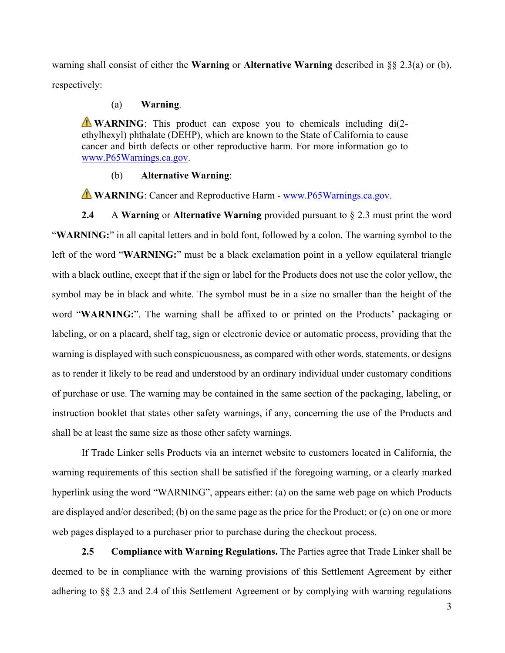warning shall consist of either the **Warning** or **Alternative Warning** described in §§ 2.3(a) or (b), respectively:

## (a) **Warning**.

**WARNING**: This product can expose you to chemicals including di(2ethylhexyl) phthalate (DEHP), which are known to the State of California to cause cancer and birth defects or other reproductive harm. For more information go to [www.P65Warnings.ca.gov.](http://www.p65warnings.ca.gov/)

### (b) **Alternative Warning**:

**WARNING**: Cancer and Reproductive Harm - [www.P65Warnings.ca.gov.](http://www.p65warnings.ca.gov/)

**2.4** A **Warning** or **Alternative Warning** provided pursuant to § 2.3 must print the word "**WARNING:**" in all capital letters and in bold font, followed by a colon. The warning symbol to the left of the word "**WARNING:**" must be a black exclamation point in a yellow equilateral triangle with a black outline, except that if the sign or label for the Products does not use the color yellow, the symbol may be in black and white. The symbol must be in a size no smaller than the height of the word "**WARNING:**". The warning shall be affixed to or printed on the Products' packaging or labeling, or on a placard, shelf tag, sign or electronic device or automatic process, providing that the warning is displayed with such conspicuousness, as compared with other words, statements, or designs as to render it likely to be read and understood by an ordinary individual under customary conditions of purchase or use. The warning may be contained in the same section of the packaging, labeling, or instruction booklet that states other safety warnings, if any, concerning the use of the Products and shall be at least the same size as those other safety warnings.

If Trade Linker sells Products via an internet website to customers located in California, the warning requirements of this section shall be satisfied if the foregoing warning, or a clearly marked hyperlink using the word "WARNING", appears either: (a) on the same web page on which Products are displayed and/or described; (b) on the same page as the price for the Product; or (c) on one or more web pages displayed to a purchaser prior to purchase during the checkout process.

**2.5 Compliance with Warning Regulations.** The Parties agree that Trade Linker shall be deemed to be in compliance with the warning provisions of this Settlement Agreement by either adhering to §§ 2.3 and 2.4 of this Settlement Agreement or by complying with warning regulations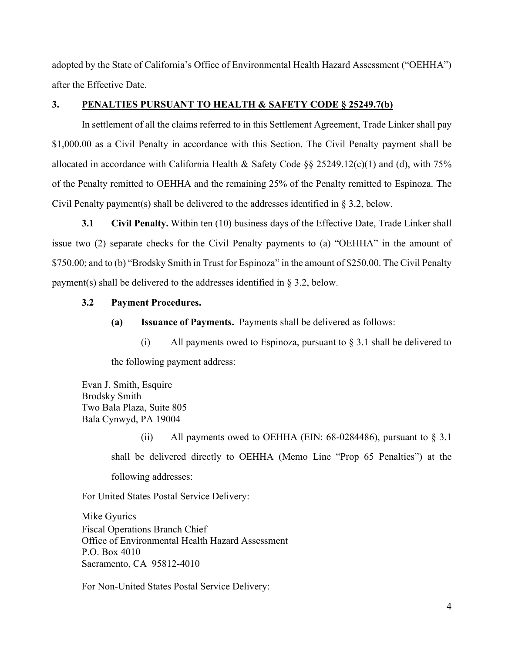adopted by the State of California's Office of Environmental Health Hazard Assessment ("OEHHA") after the Effective Date.

# **3. PENALTIES PURSUANT TO HEALTH & SAFETY CODE § 25249.7(b)**

In settlement of all the claims referred to in this Settlement Agreement, Trade Linker shall pay \$1,000.00 as a Civil Penalty in accordance with this Section. The Civil Penalty payment shall be allocated in accordance with California Health & Safety Code §§ 25249.12(c)(1) and (d), with 75% of the Penalty remitted to OEHHA and the remaining 25% of the Penalty remitted to Espinoza. The Civil Penalty payment(s) shall be delivered to the addresses identified in § 3.2, below.

**3.1 Civil Penalty.** Within ten (10) business days of the Effective Date, Trade Linker shall issue two (2) separate checks for the Civil Penalty payments to (a) "OEHHA" in the amount of \$750.00; and to (b) "Brodsky Smith in Trust for Espinoza" in the amount of \$250.00. The Civil Penalty payment(s) shall be delivered to the addresses identified in § 3.2, below.

## **3.2 Payment Procedures.**

**(a) Issuance of Payments.** Payments shall be delivered as follows:

(i) All payments owed to Espinoza, pursuant to  $\S 3.1$  shall be delivered to the following payment address:

Evan J. Smith, Esquire Brodsky Smith Two Bala Plaza, Suite 805 Bala Cynwyd, PA 19004

> (ii) All payments owed to OEHHA (EIN:  $68-0284486$ ), pursuant to  $\S 3.1$ shall be delivered directly to OEHHA (Memo Line "Prop 65 Penalties") at the following addresses:

For United States Postal Service Delivery:

Mike Gyurics Fiscal Operations Branch Chief Office of Environmental Health Hazard Assessment P.O. Box 4010 Sacramento, CA 95812-4010

For Non-United States Postal Service Delivery: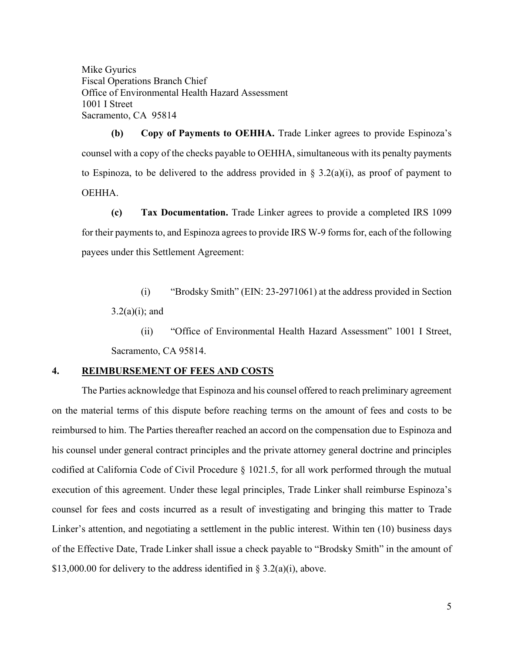Mike Gyurics Fiscal Operations Branch Chief Office of Environmental Health Hazard Assessment 1001 I Street Sacramento, CA 95814

**(b) Copy of Payments to OEHHA.** Trade Linker agrees to provide Espinoza's counsel with a copy of the checks payable to OEHHA, simultaneous with its penalty payments to Espinoza, to be delivered to the address provided in  $\S 3.2(a)(i)$ , as proof of payment to OEHHA.

**(c) Tax Documentation.** Trade Linker agrees to provide a completed IRS 1099 for their payments to, and Espinoza agrees to provide IRS W-9 forms for, each of the following payees under this Settlement Agreement:

(i) "Brodsky Smith" (EIN: 23-2971061) at the address provided in Section  $3.2(a)(i)$ ; and

(ii) "Office of Environmental Health Hazard Assessment" 1001 I Street, Sacramento, CA 95814.

## **4. REIMBURSEMENT OF FEES AND COSTS**

The Parties acknowledge that Espinoza and his counsel offered to reach preliminary agreement on the material terms of this dispute before reaching terms on the amount of fees and costs to be reimbursed to him. The Parties thereafter reached an accord on the compensation due to Espinoza and his counsel under general contract principles and the private attorney general doctrine and principles codified at California Code of Civil Procedure § 1021.5, for all work performed through the mutual execution of this agreement. Under these legal principles, Trade Linker shall reimburse Espinoza's counsel for fees and costs incurred as a result of investigating and bringing this matter to Trade Linker's attention, and negotiating a settlement in the public interest. Within ten (10) business days of the Effective Date, Trade Linker shall issue a check payable to "Brodsky Smith" in the amount of \$13,000.00 for delivery to the address identified in § 3.2(a)(i), above.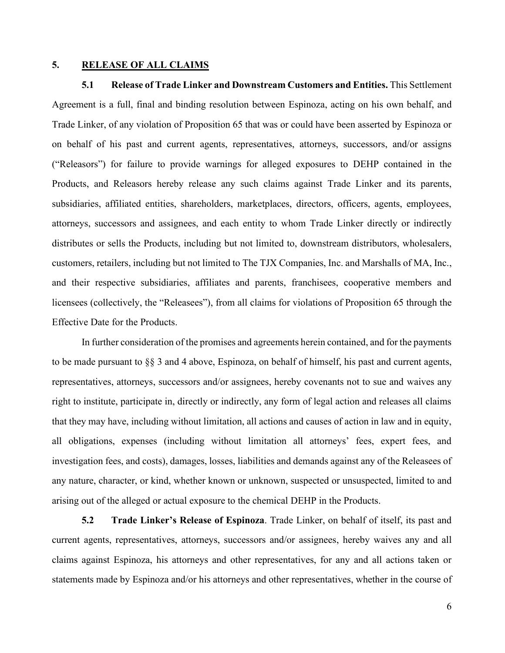## **5. RELEASE OF ALL CLAIMS**

**5.1 Release of Trade Linker and Downstream Customers and Entities.** This Settlement Agreement is a full, final and binding resolution between Espinoza, acting on his own behalf, and Trade Linker, of any violation of Proposition 65 that was or could have been asserted by Espinoza or on behalf of his past and current agents, representatives, attorneys, successors, and/or assigns ("Releasors") for failure to provide warnings for alleged exposures to DEHP contained in the Products, and Releasors hereby release any such claims against Trade Linker and its parents, subsidiaries, affiliated entities, shareholders, marketplaces, directors, officers, agents, employees, attorneys, successors and assignees, and each entity to whom Trade Linker directly or indirectly distributes or sells the Products, including but not limited to, downstream distributors, wholesalers, customers, retailers, including but not limited to The TJX Companies, Inc. and Marshalls of MA, Inc., and their respective subsidiaries, affiliates and parents, franchisees, cooperative members and licensees (collectively, the "Releasees"), from all claims for violations of Proposition 65 through the Effective Date for the Products.

In further consideration of the promises and agreements herein contained, and for the payments to be made pursuant to  $\S$ § 3 and 4 above, Espinoza, on behalf of himself, his past and current agents, representatives, attorneys, successors and/or assignees, hereby covenants not to sue and waives any right to institute, participate in, directly or indirectly, any form of legal action and releases all claims that they may have, including without limitation, all actions and causes of action in law and in equity, all obligations, expenses (including without limitation all attorneys' fees, expert fees, and investigation fees, and costs), damages, losses, liabilities and demands against any of the Releasees of any nature, character, or kind, whether known or unknown, suspected or unsuspected, limited to and arising out of the alleged or actual exposure to the chemical DEHP in the Products.

**5.2 Trade Linker's Release of Espinoza**. Trade Linker, on behalf of itself, its past and current agents, representatives, attorneys, successors and/or assignees, hereby waives any and all claims against Espinoza, his attorneys and other representatives, for any and all actions taken or statements made by Espinoza and/or his attorneys and other representatives, whether in the course of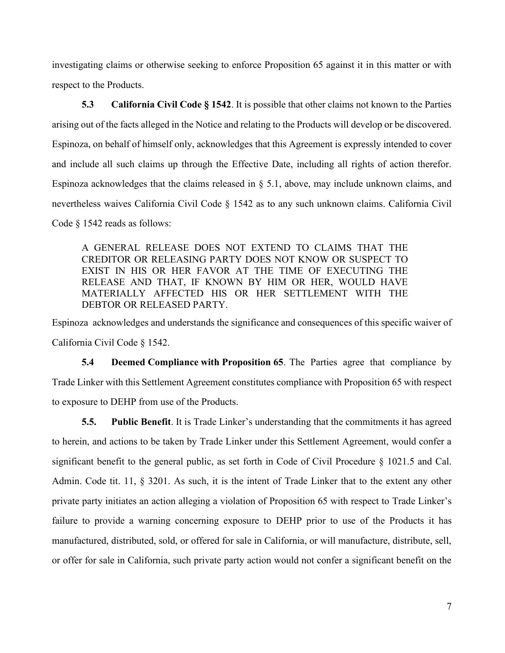investigating claims or otherwise seeking to enforce Proposition 65 against it in this matter or with respect to the Products.

**5.3 California Civil Code § 1542**. It is possible that other claims not known to the Parties arising out of the facts alleged in the Notice and relating to the Products will develop or be discovered. Espinoza, on behalf of himself only, acknowledges that this Agreement is expressly intended to cover and include all such claims up through the Effective Date, including all rights of action therefor. Espinoza acknowledges that the claims released in § 5.1, above, may include unknown claims, and nevertheless waives California Civil Code § 1542 as to any such unknown claims. California Civil Code § 1542 reads as follows:

A GENERAL RELEASE DOES NOT EXTEND TO CLAIMS THAT THE CREDITOR OR RELEASING PARTY DOES NOT KNOW OR SUSPECT TO EXIST IN HIS OR HER FAVOR AT THE TIME OF EXECUTING THE RELEASE AND THAT, IF KNOWN BY HIM OR HER, WOULD HAVE MATERIALLY AFFECTED HIS OR HER SETTLEMENT WITH THE DEBTOR OR RELEASED PARTY.

Espinoza acknowledges and understands the significance and consequences of this specific waiver of California Civil Code § 1542.

**5.4 Deemed Compliance with Proposition 65**. The Parties agree that compliance by Trade Linker with this Settlement Agreement constitutes compliance with Proposition 65 with respect to exposure to DEHP from use of the Products.

**5.5. Public Benefit**. It is Trade Linker's understanding that the commitments it has agreed to herein, and actions to be taken by Trade Linker under this Settlement Agreement, would confer a significant benefit to the general public, as set forth in Code of Civil Procedure § 1021.5 and Cal. Admin. Code tit. 11, § 3201. As such, it is the intent of Trade Linker that to the extent any other private party initiates an action alleging a violation of Proposition 65 with respect to Trade Linker's failure to provide a warning concerning exposure to DEHP prior to use of the Products it has manufactured, distributed, sold, or offered for sale in California, or will manufacture, distribute, sell, or offer for sale in California, such private party action would not confer a significant benefit on the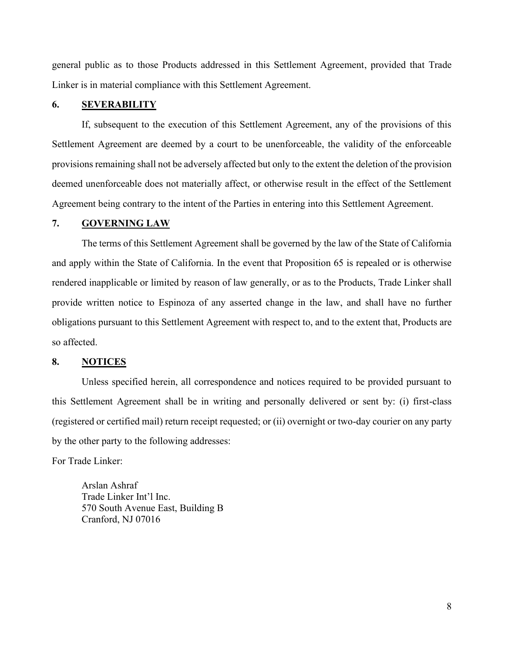general public as to those Products addressed in this Settlement Agreement, provided that Trade Linker is in material compliance with this Settlement Agreement.

# **6. SEVERABILITY**

If, subsequent to the execution of this Settlement Agreement, any of the provisions of this Settlement Agreement are deemed by a court to be unenforceable, the validity of the enforceable provisions remaining shall not be adversely affected but only to the extent the deletion of the provision deemed unenforceable does not materially affect, or otherwise result in the effect of the Settlement Agreement being contrary to the intent of the Parties in entering into this Settlement Agreement.

### **7. GOVERNING LAW**

The terms of this Settlement Agreement shall be governed by the law of the State of California and apply within the State of California. In the event that Proposition 65 is repealed or is otherwise rendered inapplicable or limited by reason of law generally, or as to the Products, Trade Linker shall provide written notice to Espinoza of any asserted change in the law, and shall have no further obligations pursuant to this Settlement Agreement with respect to, and to the extent that, Products are so affected.

#### **8. NOTICES**

Unless specified herein, all correspondence and notices required to be provided pursuant to this Settlement Agreement shall be in writing and personally delivered or sent by: (i) first-class (registered or certified mail) return receipt requested; or (ii) overnight or two-day courier on any party by the other party to the following addresses:

For Trade Linker:

Arslan Ashraf Trade Linker Int'l Inc. 570 South Avenue East, Building B Cranford, NJ 07016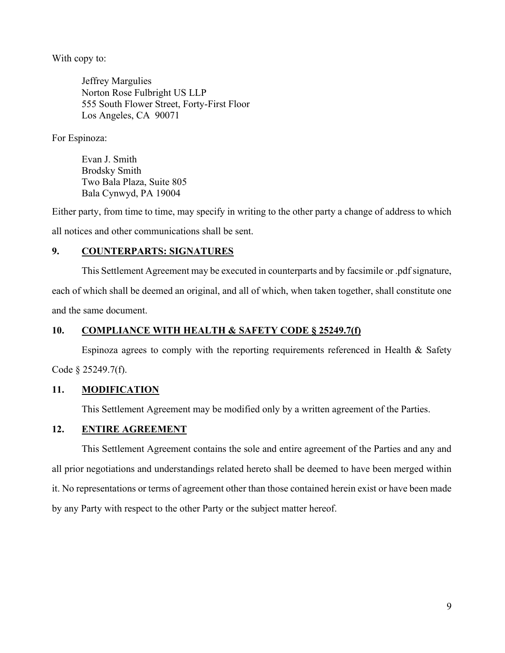With copy to:

Jeffrey Margulies Norton Rose Fulbright US LLP 555 South Flower Street, Forty-First Floor Los Angeles, CA 90071

For Espinoza:

Evan J. Smith Brodsky Smith Two Bala Plaza, Suite 805 Bala Cynwyd, PA 19004

Either party, from time to time, may specify in writing to the other party a change of address to which all notices and other communications shall be sent.

# **9. COUNTERPARTS: SIGNATURES**

This Settlement Agreement may be executed in counterparts and by facsimile or .pdf signature, each of which shall be deemed an original, and all of which, when taken together, shall constitute one and the same document.

# **10. COMPLIANCE WITH HEALTH & SAFETY CODE § 25249.7(f)**

Espinoza agrees to comply with the reporting requirements referenced in Health & Safety Code § 25249.7(f).

# **11. MODIFICATION**

This Settlement Agreement may be modified only by a written agreement of the Parties.

# **12. ENTIRE AGREEMENT**

This Settlement Agreement contains the sole and entire agreement of the Parties and any and all prior negotiations and understandings related hereto shall be deemed to have been merged within it. No representations or terms of agreement other than those contained herein exist or have been made by any Party with respect to the other Party or the subject matter hereof.